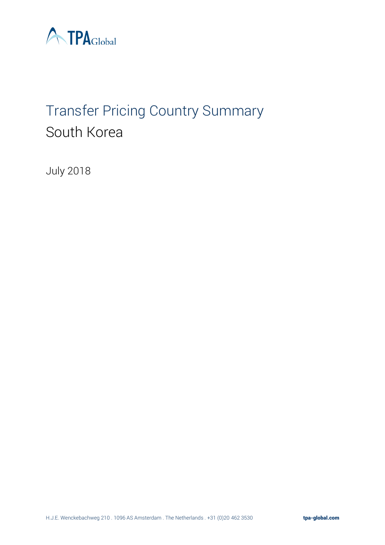

# Transfer Pricing Country Summary South Korea

July 2018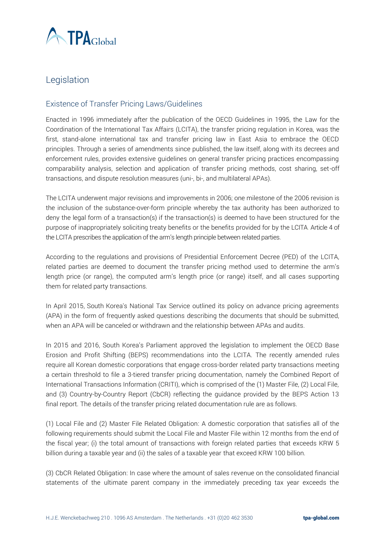

# Legislation

## Existence of Transfer Pricing Laws/Guidelines

Enacted in 1996 immediately after the publication of the OECD Guidelines in 1995, the Law for the Coordination of the International Tax Affairs (LCITA), the transfer pricing regulation in Korea, was the first, stand-alone international tax and transfer pricing law in East Asia to embrace the OECD principles. Through a series of amendments since published, the law itself, along with its decrees and enforcement rules, provides extensive guidelines on general transfer pricing practices encompassing comparability analysis, selection and application of transfer pricing methods, cost sharing, set-off transactions, and dispute resolution measures (uni-, bi-, and multilateral APAs).

The LCITA underwent major revisions and improvements in 2006; one milestone of the 2006 revision is the inclusion of the substance-over-form principle whereby the tax authority has been authorized to deny the legal form of a transaction(s) if the transaction(s) is deemed to have been structured for the purpose of inappropriately soliciting treaty benefits or the benefits provided for by the LCITA. Article 4 of the LCITA prescribes the application of the arm's length principle between related parties.

According to the regulations and provisions of Presidential Enforcement Decree (PED) of the LCITA, related parties are deemed to document the transfer pricing method used to determine the arm's length price (or range), the computed arm's length price (or range) itself, and all cases supporting them for related party transactions.

In April 2015, South Korea's National Tax Service outlined its policy on advance pricing agreements (APA) in the form of [frequently asked questions](http://op.bna.com/ITDTR.nsf/id/mmos-9wppzr/$File/KR%202015%20FAQs%20on%20APA.pdf) describing the documents that should be submitted, when an APA will be canceled or withdrawn and the relationship between APAs and audits.

In 2015 and 2016, South Korea's Parliament approved the legislation to implement the OECD Base Erosion and Profit Shifting (BEPS) recommendations into the LCITA. The recently amended rules require all Korean domestic corporations that engage cross-border related party transactions meeting a certain threshold to file a 3-tiered transfer pricing documentation, namely the Combined Report of International Transactions Information (CRITI), which is comprised of the (1) Master File, (2) Local File, and (3) Country-by-Country Report (CbCR) reflecting the guidance provided by the BEPS Action 13 final report. The details of the transfer pricing related documentation rule are as follows.

(1) Local File and (2) Master File Related Obligation: A domestic corporation that satisfies all of the following requirements should submit the Local File and Master File within 12 months from the end of the fiscal year; (i) the total amount of transactions with foreign related parties that exceeds KRW 5 billion during a taxable year and (ii) the sales of a taxable year that exceed KRW 100 billion.

(3) CbCR Related Obligation: In case where the amount of sales revenue on the consolidated financial statements of the ultimate parent company in the immediately preceding tax year exceeds the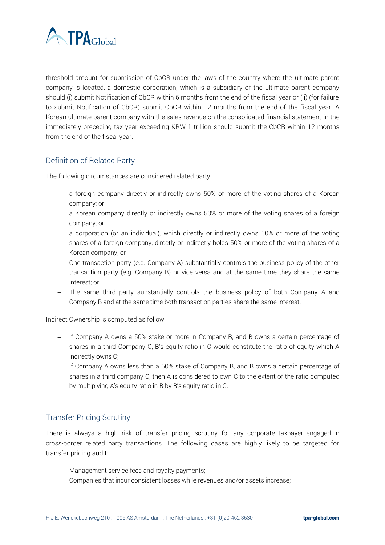

threshold amount for submission of CbCR under the laws of the country where the ultimate parent company is located, a domestic corporation, which is a subsidiary of the ultimate parent company should (i) submit Notification of CbCR within 6 months from the end of the fiscal year or (ii) (for failure to submit Notification of CbCR) submit CbCR within 12 months from the end of the fiscal year. A Korean ultimate parent company with the sales revenue on the consolidated financial statement in the immediately preceding tax year exceeding KRW 1 trillion should submit the CbCR within 12 months from the end of the fiscal year.

## Definition of Related Party

The following circumstances are considered related party:

- − a foreign company directly or indirectly owns 50% of more of the voting shares of a Korean company; or
- − a Korean company directly or indirectly owns 50% or more of the voting shares of a foreign company; or
- − a corporation (or an individual), which directly or indirectly owns 50% or more of the voting shares of a foreign company, directly or indirectly holds 50% or more of the voting shares of a Korean company; or
- − One transaction party (e.g. Company A) substantially controls the business policy of the other transaction party (e.g. Company B) or vice versa and at the same time they share the same interest; or
- − The same third party substantially controls the business policy of both Company A and Company B and at the same time both transaction parties share the same interest.

Indirect Ownership is computed as follow:

- − If Company A owns a 50% stake or more in Company B, and B owns a certain percentage of shares in a third Company C, B's equity ratio in C would constitute the ratio of equity which A indirectly owns C;
- − If Company A owns less than a 50% stake of Company B, and B owns a certain percentage of shares in a third company C, then A is considered to own C to the extent of the ratio computed by multiplying A's equity ratio in B by B's equity ratio in C.

## Transfer Pricing Scrutiny

There is always a high risk of transfer pricing scrutiny for any corporate taxpayer engaged in cross-border related party transactions. The following cases are highly likely to be targeted for transfer pricing audit:

- − Management service fees and royalty payments;
- − Companies that incur consistent losses while revenues and/or assets increase;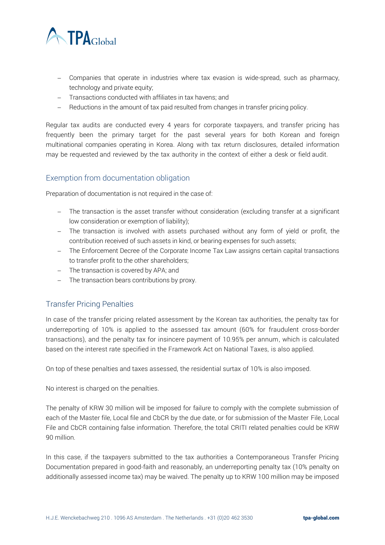

- − Companies that operate in industries where tax evasion is wide-spread, such as pharmacy, technology and private equity;
- − Transactions conducted with affiliates in tax havens; and
- − Reductions in the amount of tax paid resulted from changes in transfer pricing policy.

Regular tax audits are conducted every 4 years for corporate taxpayers, and transfer pricing has frequently been the primary target for the past several years for both Korean and foreign multinational companies operating in Korea. Along with tax return disclosures, detailed information may be requested and reviewed by the tax authority in the context of either a desk or field audit.

## Exemption from documentation obligation

Preparation of documentation is not required in the case of:

- − The transaction is the asset transfer without consideration (excluding transfer at a significant low consideration or exemption of liability);
- − The transaction is involved with assets purchased without any form of yield or profit, the contribution received of such assets in kind, or bearing expenses for such assets;
- − The Enforcement Decree of the Corporate Income Tax Law assigns certain capital transactions to transfer profit to the other shareholders;
- − The transaction is covered by APA; and
- − The transaction bears contributions by proxy.

## Transfer Pricing Penalties

In case of the transfer pricing related assessment by the Korean tax authorities, the penalty tax for underreporting of 10% is applied to the assessed tax amount (60% for fraudulent cross-border transactions), and the penalty tax for insincere payment of 10.95% per annum, which is calculated based on the interest rate specified in the Framework Act on National Taxes, is also applied.

On top of these penalties and taxes assessed, the residential surtax of 10% is also imposed.

No interest is charged on the penalties.

The penalty of KRW 30 million will be imposed for failure to comply with the complete submission of each of the Master file, Local file and CbCR by the due date, or for submission of the Master File, Local File and CbCR containing false information. Therefore, the total CRITI related penalties could be KRW 90 million.

In this case, if the taxpayers submitted to the tax authorities a Contemporaneous Transfer Pricing Documentation prepared in good-faith and reasonably, an underreporting penalty tax (10% penalty on additionally assessed income tax) may be waived. The penalty up to KRW 100 million may be imposed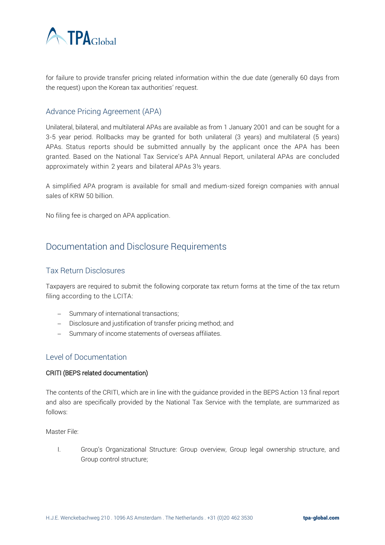

for failure to provide transfer pricing related information within the due date (generally 60 days from the request) upon the Korean tax authorities' request.

## Advance Pricing Agreement (APA)

Unilateral, bilateral, and multilateral APAs are available as from 1 January 2001 and can be sought for a 3-5 year period. Rollbacks may be granted for both unilateral (3 years) and multilateral (5 years) APAs. Status reports should be submitted annually by the applicant once the APA has been granted. Based on the National Tax Service's APA Annual Report, unilateral APAs are concluded approximately within 2 years and bilateral APAs 3½ years.

A simplified APA program is available for small and medium-sized foreign companies with annual sales of KRW 50 billion.

No filing fee is charged on APA application.

# Documentation and Disclosure Requirements

## Tax Return Disclosures

Taxpayers are required to submit the following corporate tax return forms at the time of the tax return filing according to the LCITA:

- − Summary of international transactions;
- − Disclosure and justification of transfer pricing method; and
- − Summary of income statements of overseas affiliates.

#### Level of Documentation

#### CRITI (BEPS related documentation)

The contents of the CRITI, which are in line with the guidance provided in the BEPS Action 13 final report and also are specifically provided by the National Tax Service with the template, are summarized as follows:

Master File:

I. Group's Organizational Structure: Group overview, Group legal ownership structure, and Group control structure;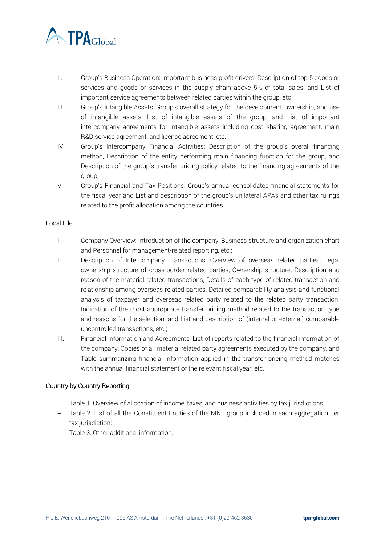

- II. Group's Business Operation: Important business profit drivers, Description of top 5 goods or services and goods or services in the supply chain above 5% of total sales, and List of important service agreements between related parties within the group, etc.;
- III. Group's Intangible Assets: Group's overall strategy for the development, ownership, and use of intangible assets, List of intangible assets of the group, and List of important intercompany agreements for intangible assets including cost sharing agreement, main R&D service agreement, and license agreement, etc.;
- IV. Group's Intercompany Financial Activities: Description of the group's overall financing method, Description of the entity performing main financing function for the group, and Description of the group's transfer pricing policy related to the financing agreements of the group;
- V. Group's Financial and Tax Positions: Group's annual consolidated financial statements for the fiscal year and List and description of the group's unilateral APAs and other tax rulings related to the profit allocation among the countries.

#### Local File:

- I. Company Overview: Introduction of the company, Business structure and organization chart, and Personnel for management-related reporting, etc.;
- II. Description of Intercompany Transactions: Overview of overseas related parties, Legal ownership structure of cross-border related parties, Ownership structure, Description and reason of the material related transactions, Details of each type of related transaction and relationship among overseas related parties, Detailed comparability analysis and functional analysis of taxpayer and overseas related party related to the related party transaction, Indication of the most appropriate transfer pricing method related to the transaction type and reasons for the selection, and List and description of (internal or external) comparable uncontrolled transactions, etc.;
- III. Financial Information and Agreements: List of reports related to the financial information of the company, Copies of all material related party agreements executed by the company, and Table summarizing financial information applied in the transfer pricing method matches with the annual financial statement of the relevant fiscal year, etc.

#### Country by Country Reporting

- − Table 1. Overview of allocation of income, taxes, and business activities by tax jurisdictions;
- − Table 2. List of all the Constituent Entities of the MNE group included in each aggregation per tax jurisdiction;
- − Table 3. Other additional information.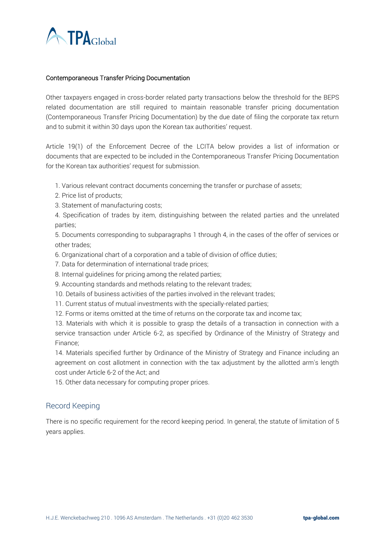

#### Contemporaneous Transfer Pricing Documentation

Other taxpayers engaged in cross-border related party transactions below the threshold for the BEPS related documentation are still required to maintain reasonable transfer pricing documentation (Contemporaneous Transfer Pricing Documentation) by the due date of filing the corporate tax return and to submit it within 30 days upon the Korean tax authorities' request.

Article 19(1) of the Enforcement Decree of the LCITA below provides a list of information or documents that are expected to be included in the Contemporaneous Transfer Pricing Documentation for the Korean tax authorities' request for submission.

- 1. Various relevant contract documents concerning the transfer or purchase of assets;
- 2. Price list of products;
- 3. Statement of manufacturing costs;

4. Specification of trades by item, distinguishing between the related parties and the unrelated parties;

5. Documents corresponding to subparagraphs 1 through 4, in the cases of the offer of services or other trades;

- 6. Organizational chart of a corporation and a table of division of office duties;
- 7. Data for determination of international trade prices;
- 8. Internal guidelines for pricing among the related parties;
- 9. Accounting standards and methods relating to the relevant trades;
- 10. Details of business activities of the parties involved in the relevant trades;
- 11. Current status of mutual investments with the specially-related parties;
- 12. Forms or items omitted at the time of returns on the corporate tax and income tax;

13. Materials with which it is possible to grasp the details of a transaction in connection with a service transaction under Article 6-2, as specified by Ordinance of the Ministry of Strategy and Finance;

14. Materials specified further by Ordinance of the Ministry of Strategy and Finance including an agreement on cost allotment in connection with the tax adjustment by the allotted arm's length cost under Article 6-2 of the Act; and

15. Other data necessary for computing proper prices.

## Record Keeping

There is no specific requirement for the record keeping period. In general, the statute of limitation of 5 years applies.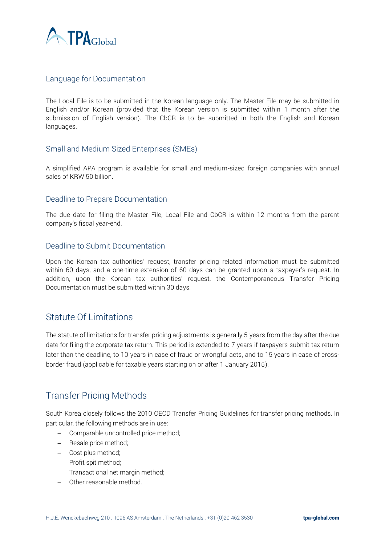

## Language for Documentation

The Local File is to be submitted in the Korean language only. The Master File may be submitted in English and/or Korean (provided that the Korean version is submitted within 1 month after the submission of English version). The CbCR is to be submitted in both the English and Korean languages.

## Small and Medium Sized Enterprises (SMEs)

A simplified APA program is available for small and medium-sized foreign companies with annual sales of KRW 50 billion.

## Deadline to Prepare Documentation

The due date for filing the Master File, Local File and CbCR is within 12 months from the parent company's fiscal year-end.

## Deadline to Submit Documentation

Upon the Korean tax authorities' request, transfer pricing related information must be submitted within 60 days, and a one-time extension of 60 days can be granted upon a taxpayer's request. In addition, upon the Korean tax authorities' request, the Contemporaneous Transfer Pricing Documentation must be submitted within 30 days.

## Statute Of Limitations

The statute of limitations for transfer pricing adjustments is generally 5 years from the day after the due date for filing the corporate tax return. This period is extended to 7 years if taxpayers submit tax return later than the deadline, to 10 years in case of fraud or wrongful acts, and to 15 years in case of crossborder fraud (applicable for taxable years starting on or after 1 January 2015).

# Transfer Pricing Methods

South Korea closely follows the 2010 OECD Transfer Pricing Guidelines for transfer pricing methods. In particular, the following methods are in use:

- − Comparable uncontrolled price method;
- − Resale price method;
- − Cost plus method;
- − Profit spit method;
- − Transactional net margin method;
- − Other reasonable method.